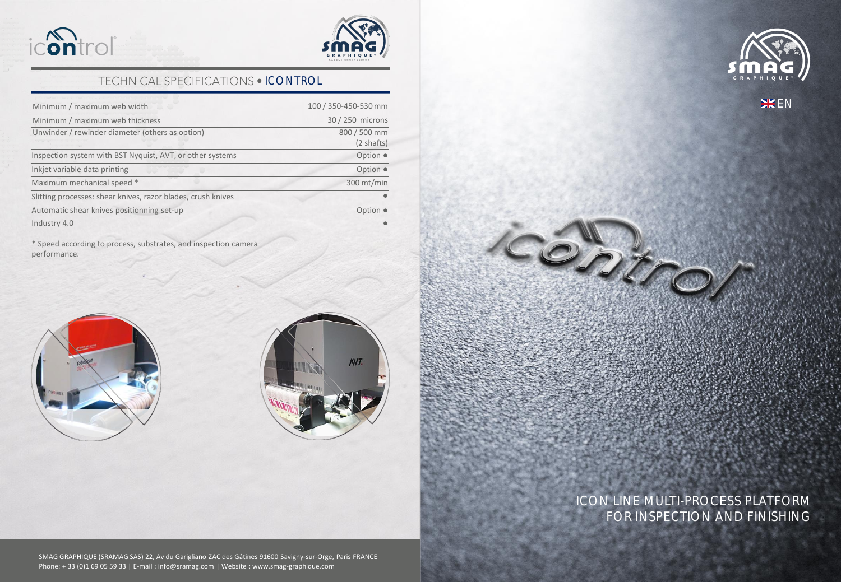



## TECHNICAL SPECIFICATIONS . ICONTROL

| Minimum / maximum web width                                  | 100 / 350-450-530 mm            |
|--------------------------------------------------------------|---------------------------------|
| Minimum / maximum web thickness                              | 30 / 250 microns                |
| Unwinder / rewinder diameter (others as option)              | 800 / 500 mm<br>$(2 \; shafts)$ |
| Inspection system with BST Nyquist, AVT, or other systems    |                                 |
| Inkjet variable data printing                                |                                 |
| Maximum mechanical speed *                                   | $300$ mt/min                    |
| Slitting processes: shear knives, razor blades, crush knives |                                 |
| Automatic shear knives positionning set-up                   |                                 |
| Industry 4.0                                                 |                                 |

\* Speed according to process, substrates, and inspection camera performance.





## ICON LINE MULTI-PROCESS PLATFORM FOR INSPECTION AND FINISHING

Control

SMAG GRAPHIQUE (SRAMAG SAS) 22, Av du Garigliano ZAC des Gâtines 91600 Savigny-sur-Orge, Paris FRANCE Phone: + 33 (0)1 69 05 59 33 | E-mail : info@sramag.com | Website : www.smag-graphique.com



**HEEN**